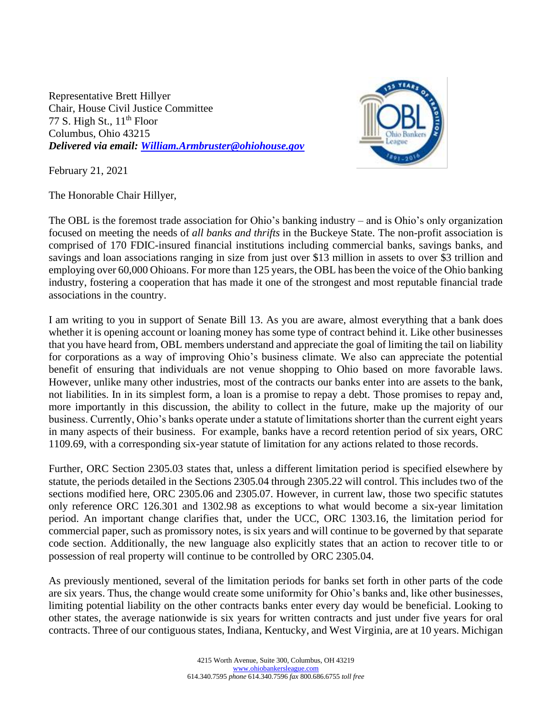Representative Brett Hillyer Chair, House Civil Justice Committee 77 S. High St.,  $11<sup>th</sup>$  Floor Columbus, Ohio 43215 *Delivered via email: [William.Armbruster@ohiohouse.gov](mailto:William.Armbruster@ohiohouse.gov)*



February 21, 2021

The Honorable Chair Hillyer,

The OBL is the foremost trade association for Ohio's banking industry – and is Ohio's only organization focused on meeting the needs of *all banks and thrifts* in the Buckeye State. The non-profit association is comprised of 170 FDIC-insured financial institutions including commercial banks, savings banks, and savings and loan associations ranging in size from just over \$13 million in assets to over \$3 trillion and employing over 60,000 Ohioans. For more than 125 years, the OBL has been the voice of the Ohio banking industry, fostering a cooperation that has made it one of the strongest and most reputable financial trade associations in the country.

I am writing to you in support of Senate Bill 13. As you are aware, almost everything that a bank does whether it is opening account or loaning money has some type of contract behind it. Like other businesses that you have heard from, OBL members understand and appreciate the goal of limiting the tail on liability for corporations as a way of improving Ohio's business climate. We also can appreciate the potential benefit of ensuring that individuals are not venue shopping to Ohio based on more favorable laws. However, unlike many other industries, most of the contracts our banks enter into are assets to the bank, not liabilities. In in its simplest form, a loan is a promise to repay a debt. Those promises to repay and, more importantly in this discussion, the ability to collect in the future, make up the majority of our business. Currently, Ohio's banks operate under a statute of limitations shorter than the current eight years in many aspects of their business. For example, banks have a record retention period of six years, ORC 1109.69, with a corresponding six-year statute of limitation for any actions related to those records.

Further, ORC Section 2305.03 states that, unless a different limitation period is specified elsewhere by statute, the periods detailed in the Sections 2305.04 through 2305.22 will control. This includes two of the sections modified here, ORC 2305.06 and 2305.07. However, in current law, those two specific statutes only reference ORC 126.301 and 1302.98 as exceptions to what would become a six-year limitation period. An important change clarifies that, under the UCC, ORC 1303.16, the limitation period for commercial paper, such as promissory notes, is six years and will continue to be governed by that separate code section. Additionally, the new language also explicitly states that an action to recover title to or possession of real property will continue to be controlled by ORC 2305.04.

As previously mentioned, several of the limitation periods for banks set forth in other parts of the code are six years. Thus, the change would create some uniformity for Ohio's banks and, like other businesses, limiting potential liability on the other contracts banks enter every day would be beneficial. Looking to other states, the average nationwide is six years for written contracts and just under five years for oral contracts. Three of our contiguous states, Indiana, Kentucky, and West Virginia, are at 10 years. Michigan